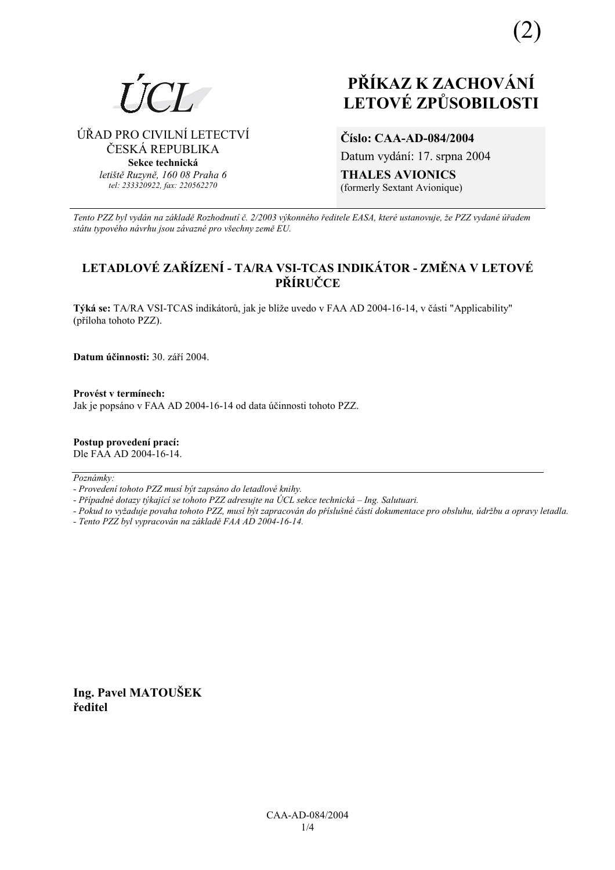

(2)

ÚŘAD PRO CIVILNÍ LETECTVÍ ČESKÁ REPUBLIKA **Sekce technická** *letiötě Ruzyně, 160 08 Praha 6 tel: 233320922, fax: 220562270*

# **LETOV… ZPŮSOBILOSTI**

**ČÌslo: CAA-AD-084/2004**  Datum vydání: 17. srpna 2004 **THALES AVIONICS**  (formerly Sextant Avionique)

*Tento PZZ byl vyd·n na z·kladě RozhodnutÌ č. 2/2003 v˝konnÈho ředitele EASA, kterÈ ustanovuje, ûe PZZ vydanÈ ˙řadem st·tu typovÈho n·vrhu jsou z·vaznÈ pro vöechny země EU.*

# **LETADLOVÉ ZAŘÍZENÍ - TA/RA VSI-TCAS INDIKÁTOR - ZMĚNA V LETOVÉ PŘÕRUČCE**

Týká se: TA/RA VSI-TCAS indikátorů, jak je blíže uvedo v FAA AD 2004-16-14, v části "Applicability" (přÌloha tohoto PZZ).

**Datum účinnosti:** 30. září 2004.

**ProvÈst v termÌnech:**  Jak je popsáno v FAA AD 2004-16-14 od data účinnosti tohoto PZZ.

**Postup provedenÌ pracÌ:**  Dle FAA AD 2004-16-14.

Poznámky:

*- ProvedenÌ tohoto PZZ musÌ b˝t zaps·no do letadlovÈ knihy.* 

- Případné dotazy týkající se tohoto PZZ adresujte na ÚCL sekce technická – Ing. Salutuari.

*- Pokud to vyûaduje povaha tohoto PZZ, musÌ b˝t zapracov·n do přÌsluönÈ č·sti dokumentace pro obsluhu, ˙drûbu a opravy letadla.* 

*- Tento PZZ byl vypracov·n na z·kladě FAA AD 2004-16-14.* 

**Ing. Pavel MATOUäEK ředitel**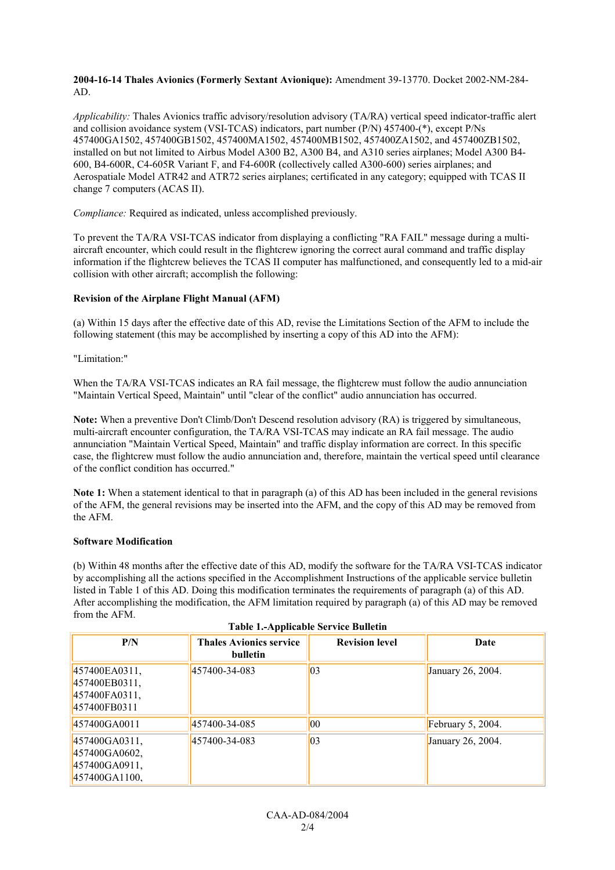### **2004-16-14 Thales Avionics (Formerly Sextant Avionique):** Amendment 39-13770. Docket 2002-NM-284- AD.

*Applicability:* Thales Avionics traffic advisory/resolution advisory (TA/RA) vertical speed indicator-traffic alert and collision avoidance system (VSI-TCAS) indicators, part number (P/N) 457400-(\*), except P/Ns 457400GA1502, 457400GB1502, 457400MA1502, 457400MB1502, 457400ZA1502, and 457400ZB1502, installed on but not limited to Airbus Model A300 B2, A300 B4, and A310 series airplanes; Model A300 B4- 600, B4-600R, C4-605R Variant F, and F4-600R (collectively called A300-600) series airplanes; and Aerospatiale Model ATR42 and ATR72 series airplanes; certificated in any category; equipped with TCAS II change 7 computers (ACAS II).

*Compliance:* Required as indicated, unless accomplished previously.

To prevent the TA/RA VSI-TCAS indicator from displaying a conflicting "RA FAIL" message during a multiaircraft encounter, which could result in the flightcrew ignoring the correct aural command and traffic display information if the flightcrew believes the TCAS II computer has malfunctioned, and consequently led to a mid-air collision with other aircraft; accomplish the following:

# **Revision of the Airplane Flight Manual (AFM)**

(a) Within 15 days after the effective date of this AD, revise the Limitations Section of the AFM to include the following statement (this may be accomplished by inserting a copy of this AD into the AFM):

"Limitation:"

When the TA/RA VSI-TCAS indicates an RA fail message, the flightcrew must follow the audio annunciation "Maintain Vertical Speed, Maintain" until "clear of the conflict" audio annunciation has occurred.

**Note:** When a preventive Don't Climb/Don't Descend resolution advisory (RA) is triggered by simultaneous, multi-aircraft encounter configuration, the TA/RA VSI-TCAS may indicate an RA fail message. The audio annunciation "Maintain Vertical Speed, Maintain" and traffic display information are correct. In this specific case, the flightcrew must follow the audio annunciation and, therefore, maintain the vertical speed until clearance of the conflict condition has occurred."

**Note 1:** When a statement identical to that in paragraph (a) of this AD has been included in the general revisions of the AFM, the general revisions may be inserted into the AFM, and the copy of this AD may be removed from the AFM.

# **Software Modification**

(b) Within 48 months after the effective date of this AD, modify the software for the TA/RA VSI-TCAS indicator by accomplishing all the actions specified in the Accomplishment Instructions of the applicable service bulletin listed in Table 1 of this AD. Doing this modification terminates the requirements of paragraph (a) of this AD. After accomplishing the modification, the AFM limitation required by paragraph (a) of this AD may be removed from the AFM.

| P/N                                                              | <b>Thales Avionics service</b><br>bulletin | <b>Revision level</b> | Date              |
|------------------------------------------------------------------|--------------------------------------------|-----------------------|-------------------|
| 457400EA0311,<br>457400EB0311,<br>457400FA0311,<br>457400FB0311  | 457400-34-083                              | $ 03\rangle$          | January 26, 2004. |
| 457400GA0011                                                     | 457400-34-085                              | $ 00\rangle$          | February 5, 2004. |
| 457400GA0311,<br>457400GA0602,<br>457400GA0911,<br>457400GA1100. | 457400-34-083                              | $ 03\rangle$          | January 26, 2004. |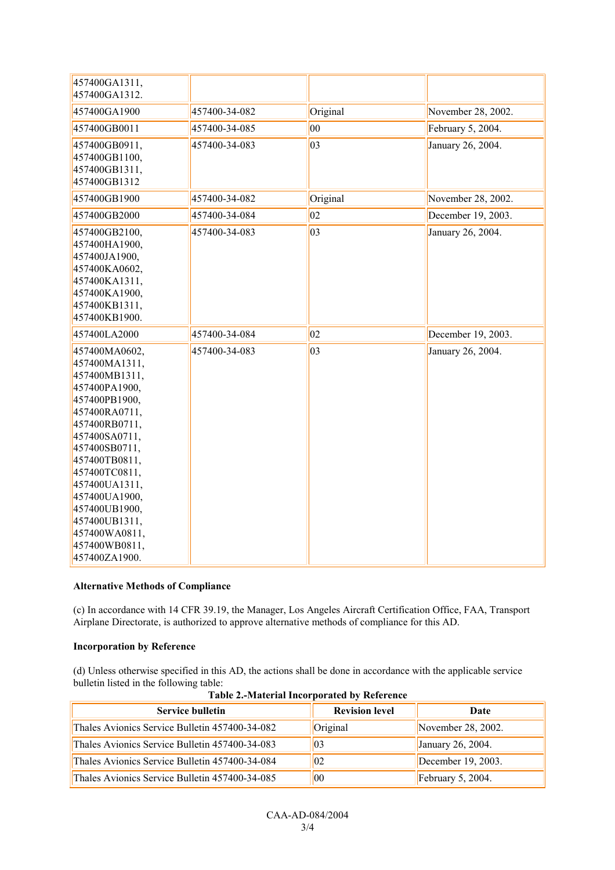| 457400GA1311,<br>457400GA1312.                                                                                                                                                                                                                                                                                 |               |              |                    |
|----------------------------------------------------------------------------------------------------------------------------------------------------------------------------------------------------------------------------------------------------------------------------------------------------------------|---------------|--------------|--------------------|
| 457400GA1900                                                                                                                                                                                                                                                                                                   | 457400-34-082 | Original     | November 28, 2002. |
| 457400GB0011                                                                                                                                                                                                                                                                                                   | 457400-34-085 | $ 00\rangle$ | February 5, 2004.  |
| 457400GB0911,<br>457400GB1100,<br>457400GB1311,<br>457400GB1312                                                                                                                                                                                                                                                | 457400-34-083 | $ 03\rangle$ | January 26, 2004.  |
| 457400GB1900                                                                                                                                                                                                                                                                                                   | 457400-34-082 | Original     | November 28, 2002. |
| 457400GB2000                                                                                                                                                                                                                                                                                                   | 457400-34-084 | 02           | December 19, 2003. |
| 457400GB2100,<br>457400HA1900,<br>457400JA1900,<br>457400KA0602,<br>457400KA1311,<br>457400KA1900,<br>457400KB1311,<br>457400KB1900.                                                                                                                                                                           | 457400-34-083 | $ 03\rangle$ | January 26, 2004.  |
| 457400LA2000                                                                                                                                                                                                                                                                                                   | 457400-34-084 | 02           | December 19, 2003. |
| 457400MA0602,<br>457400MA1311,<br>457400MB1311,<br>457400PA1900,<br>457400PB1900,<br>457400RA0711,<br>457400RB0711,<br>457400SA0711,<br>457400SB0711,<br>457400TB0811,<br>457400TC0811,<br>457400UA1311,<br>457400UA1900,<br>457400UB1900,<br>457400UB1311,<br>457400WA0811,<br>457400WB0811,<br>457400ZA1900. | 457400-34-083 | $ 03\rangle$ | January 26, 2004.  |

# **Alternative Methods of Compliance**

(c) In accordance with 14 CFR 39.19, the Manager, Los Angeles Aircraft Certification Office, FAA, Transport Airplane Directorate, is authorized to approve alternative methods of compliance for this AD.

### **Incorporation by Reference**

(d) Unless otherwise specified in this AD, the actions shall be done in accordance with the applicable service bulletin listed in the following table:

| <b>Service bulletin</b>                        | <b>Revision level</b> | Date                  |
|------------------------------------------------|-----------------------|-----------------------|
| Thales Avionics Service Bulletin 457400-34-082 | Original              | November $28, 2002$ . |
| Thales Avionics Service Bulletin 457400-34-083 | 03                    | January 26, 2004.     |
| Thales Avionics Service Bulletin 457400-34-084 | $ 02\rangle$          | December $19, 2003$ . |
| Thales Avionics Service Bulletin 457400-34-085 | $ 00\rangle$          | February $5, 2004$ .  |

**Table 2.-Material Incorporated by Reference**